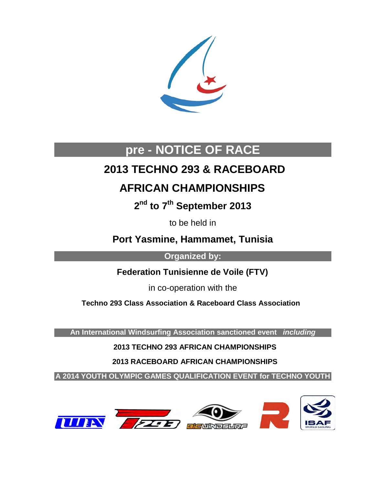

# **pre - NOTICE OF RACE**

# **2013 TECHNO 293 & RACEBOARD**

# **AFRICAN CHAMPIONSHIPS**

**2nd to 7th September 2013**

to be held in

**Port Yasmine, Hammamet, Tunisia**

**Organized by:** 

 **Federation Tunisienne de Voile (FTV)**

in co-operation with the

 **Techno 293 Class Association & Raceboard Class Association** 

**An International Windsurfing Association sanctioned event** *including*

 **2013 TECHNO 293 AFRICAN CHAMPIONSHIPS**

 **2013 RACEBOARD AFRICAN CHAMPIONSHIPS** 

**A 2014 YOUTH OLYMPIC GAMES QUALIFICATION EVENT for TECHNO YOUTH**

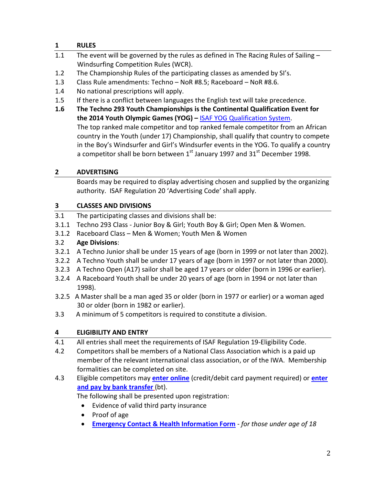# **1 RULES**

- 1.1 The event will be governed by the rules as defined in The Racing Rules of Sailing Windsurfing Competition Rules (WCR).
- 1.2 The Championship Rules of the participating classes as amended by SI's.
- 1.3 Class Rule amendments: Techno NoR #8.5; Raceboard NoR #8.6.
- 1.4 No national prescriptions will apply.
- 1.5 If there is a conflict between languages the English text will take precedence.
- **1.6 The Techno 293 Youth Championships is the Continental Qualification Event for the 2014 Youth Olympic Games (YOG) –** [ISAF YOG Qualification System.](http://www.internationalwindsurfing.com/userfiles/documents/Nanjing_2014_Qualification_System_ISAF.pdf) The top ranked male competitor and top ranked female competitor from an African country in the Youth (under 17) Championship, shall qualify that country to compete in the Boy's Windsurfer and Girl's Windsurfer events in the YOG. To qualify a country a competitor shall be born between  $1<sup>st</sup>$  January 1997 and 31 $<sup>st</sup>$  December 1998.</sup>

# **2 ADVERTISING**

Boards may be required to display advertising chosen and supplied by the organizing authority. ISAF Regulation 20 'Advertising Code' shall apply.

## **3 CLASSES AND DIVISIONS**

- 3.1 The participating classes and divisions shall be:
- 3.1.1 Techno 293 Class Junior Boy & Girl; Youth Boy & Girl; Open Men & Women.
- 3.1.2 Raceboard Class Men & Women; Youth Men & Women

# 3.2 **Age Divisions**:

- 3.2.1 A Techno Junior shall be under 15 years of age (born in 1999 or not later than 2002).
- 3.2.2 A Techno Youth shall be under 17 years of age (born in 1997 or not later than 2000).
- 3.2.3 A Techno Open (A17) sailor shall be aged 17 years or older (born in 1996 or earlier).
- 3.2.4 A Raceboard Youth shall be under 20 years of age (born in 1994 or not later than 1998).
- 3.2.5 A Master shall be a man aged 35 or older (born in 1977 or earlier) or a woman aged 30 or older (born in 1982 or earlier).
- 3.3 A minimum of 5 competitors is required to constitute a division.

# **4 ELIGIBILITY AND ENTRY**

- 4.1 All entries shall meet the requirements of ISAF Regulation 19-Eligibility Code.
- 4.2 Competitors shall be members of a National Class Association which is a paid up member of the relevant international class association, or of the IWA. Membership formalities can be completed on site.
- 4.3 Eligible competitors may **[enter online](https://adobeformscentral.com/?f=fPoOYVdkQ9329KJqpFEH3g)** (credit/debit card payment required) or **[enter](https://adobeformscentral.com/?f=DvC3-kb96lh8VVT*RIL95Q)  [and pay by bank transfer](https://adobeformscentral.com/?f=DvC3-kb96lh8VVT*RIL95Q)** (bt).

The following shall be presented upon registration:

- Evidence of valid third party insurance
- Proof of age
- **[Emergency Contact & Health Information Form](https://adobeformscentral.com/?f=XzMa-Wpa7jSrDMQMMuQqTQ)** *for those under age of 18*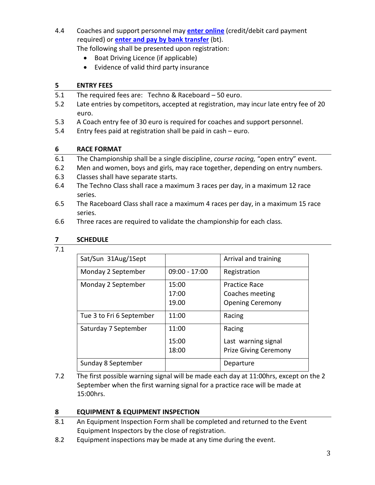4.4 Coaches and support personnel may **[enter online](https://adobeformscentral.com/?f=C9v9isVENOIGOFhpcCWenA)** (credit/debit card payment required) or **[enter and pay by bank transfer](https://adobeformscentral.com/?f=aQmz*xR90w0BkNMmvW7u9w)** (bt).

The following shall be presented upon registration:

- Boat Driving Licence (if applicable)
- Evidence of valid third party insurance

#### **5 ENTRY FEES**

- 5.1 The required fees are: Techno & Raceboard 50 euro.
- 5.2 Late entries by competitors, accepted at registration, may incur late entry fee of 20 euro.
- 5.3 A Coach entry fee of 30 euro is required for coaches and support personnel.
- 5.4 Entry fees paid at registration shall be paid in cash euro.

## **6 RACE FORMAT**

- 6.1 The Championship shall be a single discipline, *course racing,* "open entry" event.
- 6.2 Men and women, boys and girls, may race together, depending on entry numbers.
- 6.3 Classes shall have separate starts.
- 6.4 The Techno Class shall race a maximum 3 races per day, in a maximum 12 race series.
- 6.5 The Raceboard Class shall race a maximum 4 races per day, in a maximum 15 race series.
- 6.6 Three races are required to validate the championship for each class.

#### **7 SCHEDULE**

7.1

| Sat/Sun 31Aug/1Sept      |                         | Arrival and training                                          |
|--------------------------|-------------------------|---------------------------------------------------------------|
| Monday 2 September       | $09:00 - 17:00$         | Registration                                                  |
| Monday 2 September       | 15:00<br>17:00<br>19.00 | Practice Race<br>Coaches meeting<br><b>Opening Ceremony</b>   |
| Tue 3 to Fri 6 September | 11:00                   | Racing                                                        |
| Saturday 7 September     | 11:00<br>15:00<br>18:00 | Racing<br>Last warning signal<br><b>Prize Giving Ceremony</b> |
| Sunday 8 September       |                         | Departure                                                     |

7.2 The first possible warning signal will be made each day at 11:00hrs, except on the 2 September when the first warning signal for a practice race will be made at 15:00hrs.

# **8 EQUIPMENT & EQUIPMENT INSPECTION**

- 8.1 An Equipment Inspection Form shall be completed and returned to the Event Equipment Inspectors by the close of registration.
- 8.2 Equipment inspections may be made at any time during the event.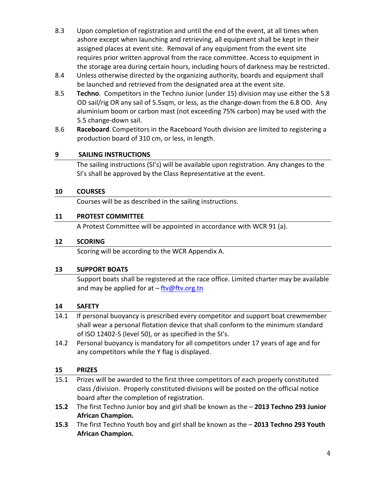- 8.3 Upon completion of registration and until the end of the event, at all times when ashore except when launching and retrieving, all equipment shall be kept in their assigned places at event site. Removal of any equipment from the event site requires prior written approval from the race committee. Access to equipment in the storage area during certain hours, including hours of darkness may be restricted.
- 8.4 Unless otherwise directed by the organizing authority, boards and equipment shall be launched and retrieved from the designated area at the event site.
- 8.5 **Techno**. Competitors in the Techno Junior (under 15) division may use either the 5.8 OD sail/rig OR any sail of 5.5sqm, or less, as the change-down from the 6.8 OD. Any aluminium boom or carbon mast (not exceeding 75% carbon) may be used with the 5.5 change-down sail.
- 8.6 **Raceboard**. Competitors in the Raceboard Youth division are limited to registering a production board of 310 cm, or less, in length.

## **9 SAILING INSTRUCTIONS**

The sailing instructions (SI's) will be available upon registration. Any changes to the SI's shall be approved by the Class Representative at the event.

## **10 COURSES**

Courses will be as described in the sailing instructions.

## **11 PROTEST COMMITTEE**

A Protest Committee will be appointed in accordance with WCR 91 (a).

#### **12 SCORING**

Scoring will be according to the WCR Appendix A.

# **13 SUPPORT BOATS**

Support boats shall be registered at the race office. Limited charter may be available and may be applied for at  $-\frac{ftv@fv.org.th}{ftv@fv.org.th}$ 

#### **14 SAFETY**

- 14.1 If personal buoyancy is prescribed every competitor and support boat crewmember shall wear a personal flotation device that shall conform to the minimum standard of ISO 12402-5 (level 50), or as specified in the SI's.
- 14.2 Personal buoyancy is mandatory for all competitors under 17 years of age and for any competitors while the Y flag is displayed.

#### **15 PRIZES**

- 15.1 Prizes will be awarded to the first three competitors of each properly constituted class /division. Properly constituted divisions will be posted on the official notice board after the completion of registration.
- **15.2** The first Techno Junior boy and girl shall be known as the **2013 Techno 293 Junior African Champion.**
- **15.3** The first Techno Youth boy and girl shall be known as the **2013 Techno 293 Youth African Champion.**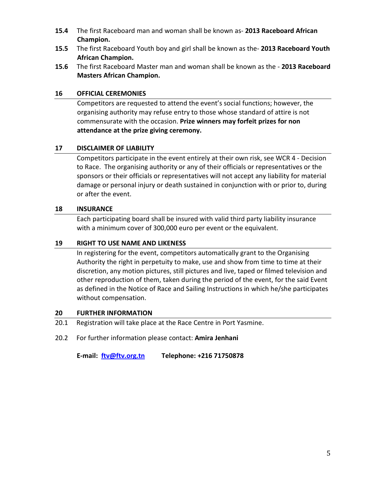- **15.4** The first Raceboard man and woman shall be known as- **2013 Raceboard African Champion.**
- **15.5** The first Raceboard Youth boy and girl shall be known as the- **2013 Raceboard Youth African Champion.**
- **15.6** The first Raceboard Master man and woman shall be known as the **2013 Raceboard Masters African Champion.**

#### **16 OFFICIAL CEREMONIES**

Competitors are requested to attend the event's social functions; however, the organising authority may refuse entry to those whose standard of attire is not commensurate with the occasion. **Prize winners may forfeit prizes for non attendance at the prize giving ceremony.**

# **17 DISCLAIMER OF LIABILITY**

Competitors participate in the event entirely at their own risk, see WCR 4 - Decision to Race. The organising authority or any of their officials or representatives or the sponsors or their officials or representatives will not accept any liability for material damage or personal injury or death sustained in conjunction with or prior to, during or after the event.

## **18 INSURANCE**

Each participating board shall be insured with valid third party liability insurance with a minimum cover of 300,000 euro per event or the equivalent.

# **19 RIGHT TO USE NAME AND LIKENESS**

In registering for the event, competitors automatically grant to the Organising Authority the right in perpetuity to make, use and show from time to time at their discretion, any motion pictures, still pictures and live, taped or filmed television and other reproduction of them, taken during the period of the event, for the said Event as defined in the Notice of Race and Sailing Instructions in which he/she participates without compensation.

#### **20 FURTHER INFORMATION**

- 20.1 Registration will take place at the Race Centre in Port Yasmine.
- 20.2 For further information please contact: **Amira Jenhani**

**E-mail: [ftv@ftv.org.tn](mailto:ftv@ftv.org.tn) Telephone: +216 71750878**